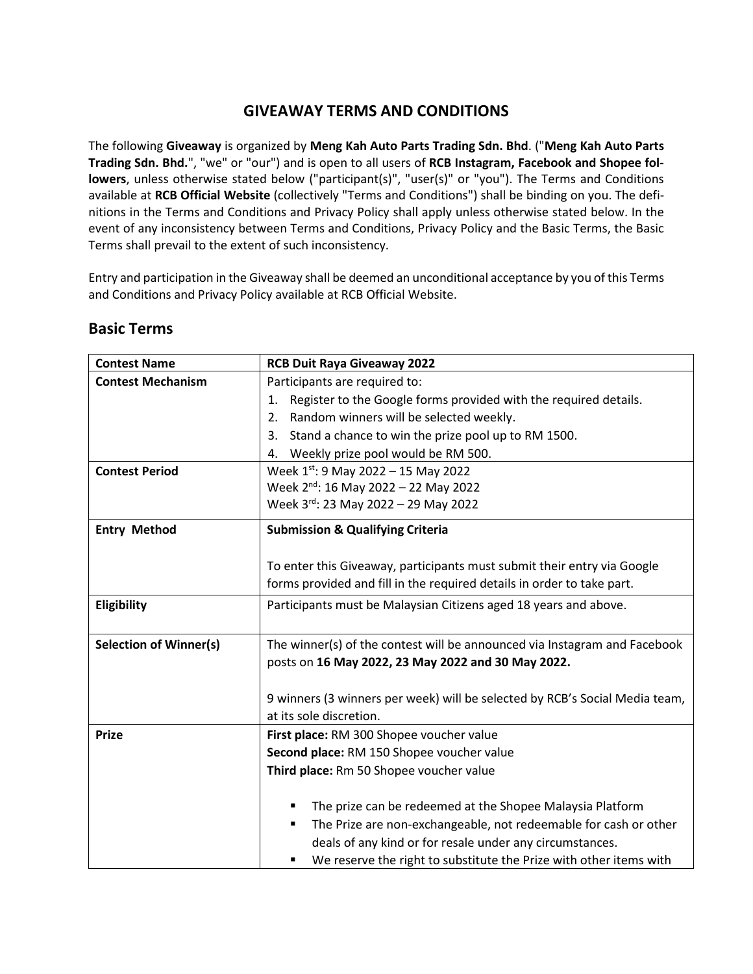# **GIVEAWAY TERMS AND CONDITIONS**

The following **Giveaway** is organized by **Meng Kah Auto Parts Trading Sdn. Bhd**. ("**Meng Kah Auto Parts Trading Sdn. Bhd.**", "we" or "our") and is open to all users of **RCB Instagram, Facebook and Shopee followers**, unless otherwise stated below ("participant(s)", "user(s)" or "you"). The Terms and Conditions available at **RCB Official Website** (collectively "Terms and Conditions") shall be binding on you. The definitions in the Terms and Conditions and Privacy Policy shall apply unless otherwise stated below. In the event of any inconsistency between Terms and Conditions, Privacy Policy and the Basic Terms, the Basic Terms shall prevail to the extent of such inconsistency.

Entry and participation in the Giveaway shall be deemed an unconditional acceptance by you of this Terms and Conditions and Privacy Policy available at RCB Official Website.

| <b>Contest Name</b>           | <b>RCB Duit Raya Giveaway 2022</b>                                                                                              |
|-------------------------------|---------------------------------------------------------------------------------------------------------------------------------|
| <b>Contest Mechanism</b>      | Participants are required to:                                                                                                   |
|                               | Register to the Google forms provided with the required details.<br>1.                                                          |
|                               | Random winners will be selected weekly.<br>2.                                                                                   |
|                               | Stand a chance to win the prize pool up to RM 1500.<br>3.                                                                       |
|                               | Weekly prize pool would be RM 500.<br>4.                                                                                        |
| <b>Contest Period</b>         | Week $1^{st}$ : 9 May 2022 - 15 May 2022                                                                                        |
|                               | Week 2 <sup>nd</sup> : 16 May 2022 - 22 May 2022                                                                                |
|                               | Week 3rd: 23 May 2022 - 29 May 2022                                                                                             |
| <b>Entry Method</b>           | <b>Submission &amp; Qualifying Criteria</b>                                                                                     |
|                               | To enter this Giveaway, participants must submit their entry via Google                                                         |
|                               | forms provided and fill in the required details in order to take part.                                                          |
| Eligibility                   | Participants must be Malaysian Citizens aged 18 years and above.                                                                |
| <b>Selection of Winner(s)</b> | The winner(s) of the contest will be announced via Instagram and Facebook<br>posts on 16 May 2022, 23 May 2022 and 30 May 2022. |
|                               | 9 winners (3 winners per week) will be selected by RCB's Social Media team,<br>at its sole discretion.                          |
| <b>Prize</b>                  | First place: RM 300 Shopee voucher value                                                                                        |
|                               | Second place: RM 150 Shopee voucher value                                                                                       |
|                               | Third place: Rm 50 Shopee voucher value                                                                                         |
|                               | The prize can be redeemed at the Shopee Malaysia Platform                                                                       |
|                               | The Prize are non-exchangeable, not redeemable for cash or other<br>٠                                                           |
|                               | deals of any kind or for resale under any circumstances.                                                                        |
|                               | We reserve the right to substitute the Prize with other items with<br>٠                                                         |

## **Basic Terms**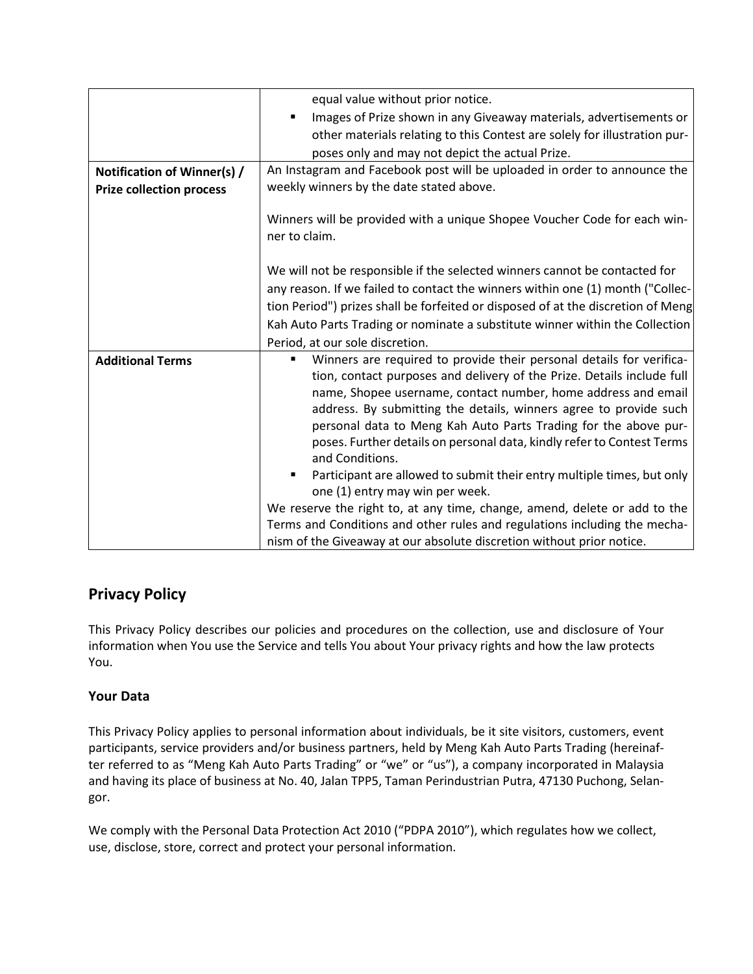|                                 | equal value without prior notice.                                                |
|---------------------------------|----------------------------------------------------------------------------------|
|                                 | Images of Prize shown in any Giveaway materials, advertisements or               |
|                                 | other materials relating to this Contest are solely for illustration pur-        |
|                                 | poses only and may not depict the actual Prize.                                  |
| Notification of Winner(s) /     | An Instagram and Facebook post will be uploaded in order to announce the         |
| <b>Prize collection process</b> | weekly winners by the date stated above.                                         |
|                                 |                                                                                  |
|                                 | Winners will be provided with a unique Shopee Voucher Code for each win-         |
|                                 | ner to claim.                                                                    |
|                                 |                                                                                  |
|                                 | We will not be responsible if the selected winners cannot be contacted for       |
|                                 | any reason. If we failed to contact the winners within one (1) month ("Collec-   |
|                                 | tion Period") prizes shall be forfeited or disposed of at the discretion of Meng |
|                                 | Kah Auto Parts Trading or nominate a substitute winner within the Collection     |
|                                 | Period, at our sole discretion.                                                  |
| <b>Additional Terms</b>         | Winners are required to provide their personal details for verifica-<br>п        |
|                                 | tion, contact purposes and delivery of the Prize. Details include full           |
|                                 | name, Shopee username, contact number, home address and email                    |
|                                 | address. By submitting the details, winners agree to provide such                |
|                                 | personal data to Meng Kah Auto Parts Trading for the above pur-                  |
|                                 | poses. Further details on personal data, kindly refer to Contest Terms           |
|                                 | and Conditions.                                                                  |
|                                 | Participant are allowed to submit their entry multiple times, but only           |
|                                 | one (1) entry may win per week.                                                  |
|                                 | We reserve the right to, at any time, change, amend, delete or add to the        |
|                                 | Terms and Conditions and other rules and regulations including the mecha-        |
|                                 | nism of the Giveaway at our absolute discretion without prior notice.            |

# **Privacy Policy**

This Privacy Policy describes our policies and procedures on the collection, use and disclosure of Your information when You use the Service and tells You about Your privacy rights and how the law protects You.

## **Your Data**

This Privacy Policy applies to personal information about individuals, be it site visitors, customers, event participants, service providers and/or business partners, held by Meng Kah Auto Parts Trading (hereinafter referred to as "Meng Kah Auto Parts Trading" or "we" or "us"), a company incorporated in Malaysia and having its place of business at No. 40, Jalan TPP5, Taman Perindustrian Putra, 47130 Puchong, Selangor.

We comply with the Personal Data Protection Act 2010 ("PDPA 2010"), which regulates how we collect, use, disclose, store, correct and protect your personal information.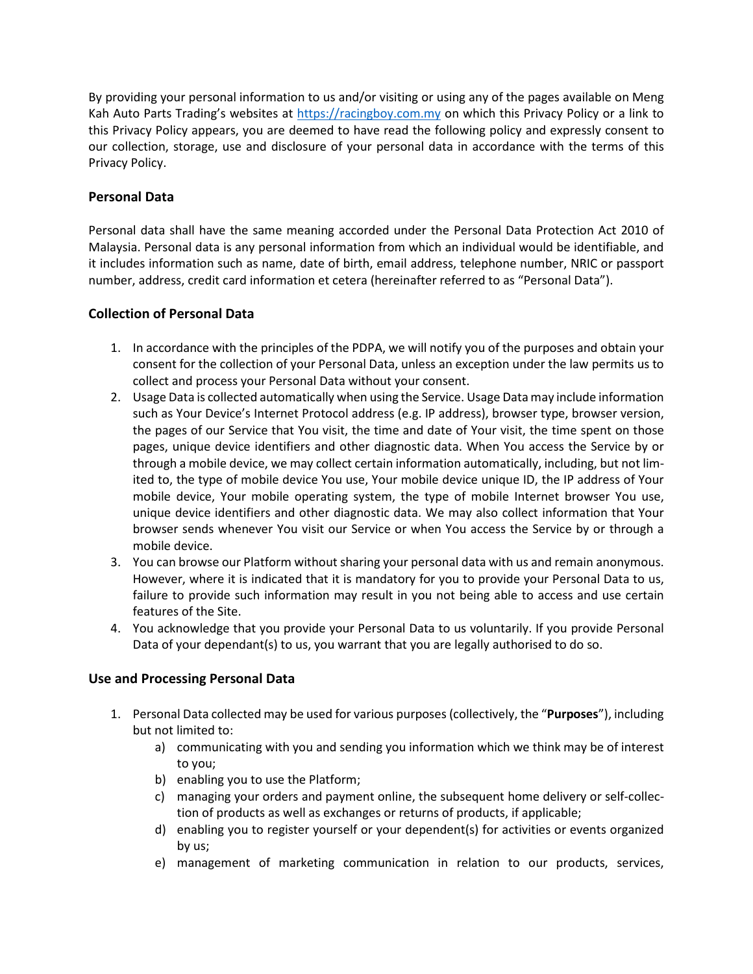By providing your personal information to us and/or visiting or using any of the pages available on Meng Kah Auto Parts Trading's websites at [https://racingboy.com.my](https://racingboy.com.my/) on which this Privacy Policy or a link to this Privacy Policy appears, you are deemed to have read the following policy and expressly consent to our collection, storage, use and disclosure of your personal data in accordance with the terms of this Privacy Policy.

## **Personal Data**

Personal data shall have the same meaning accorded under the Personal Data Protection Act 2010 of Malaysia. Personal data is any personal information from which an individual would be identifiable, and it includes information such as name, date of birth, email address, telephone number, NRIC or passport number, address, credit card information et cetera (hereinafter referred to as "Personal Data").

## **Collection of Personal Data**

- 1. In accordance with the principles of the PDPA, we will notify you of the purposes and obtain your consent for the collection of your Personal Data, unless an exception under the law permits us to collect and process your Personal Data without your consent.
- 2. Usage Data is collected automatically when using the Service. Usage Data may include information such as Your Device's Internet Protocol address (e.g. IP address), browser type, browser version, the pages of our Service that You visit, the time and date of Your visit, the time spent on those pages, unique device identifiers and other diagnostic data. When You access the Service by or through a mobile device, we may collect certain information automatically, including, but not limited to, the type of mobile device You use, Your mobile device unique ID, the IP address of Your mobile device, Your mobile operating system, the type of mobile Internet browser You use, unique device identifiers and other diagnostic data. We may also collect information that Your browser sends whenever You visit our Service or when You access the Service by or through a mobile device.
- 3. You can browse our Platform without sharing your personal data with us and remain anonymous. However, where it is indicated that it is mandatory for you to provide your Personal Data to us, failure to provide such information may result in you not being able to access and use certain features of the Site.
- 4. You acknowledge that you provide your Personal Data to us voluntarily. If you provide Personal Data of your dependant(s) to us, you warrant that you are legally authorised to do so.

## **Use and Processing Personal Data**

- 1. Personal Data collected may be used for various purposes (collectively, the "**Purposes**"), including but not limited to:
	- a) communicating with you and sending you information which we think may be of interest to you;
	- b) enabling you to use the Platform;
	- c) managing your orders and payment online, the subsequent home delivery or self-collection of products as well as exchanges or returns of products, if applicable;
	- d) enabling you to register yourself or your dependent(s) for activities or events organized by us;
	- e) management of marketing communication in relation to our products, services,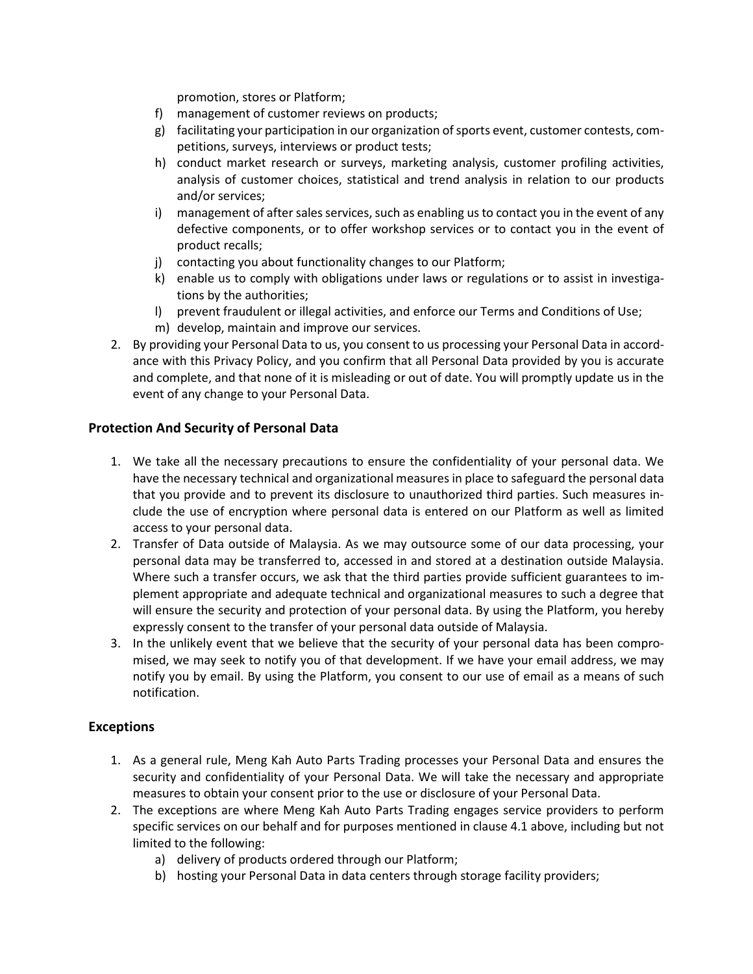promotion, stores or Platform;

- f) management of customer reviews on products;
- g) facilitating your participation in our organization of sports event, customer contests, competitions, surveys, interviews or product tests;
- h) conduct market research or surveys, marketing analysis, customer profiling activities, analysis of customer choices, statistical and trend analysis in relation to our products and/or services;
- i) management of after sales services, such as enabling us to contact you in the event of any defective components, or to offer workshop services or to contact you in the event of product recalls;
- j) contacting you about functionality changes to our Platform;
- k) enable us to comply with obligations under laws or regulations or to assist in investigations by the authorities;
- l) prevent fraudulent or illegal activities, and enforce our Terms and Conditions of Use;
- m) develop, maintain and improve our services.
- 2. By providing your Personal Data to us, you consent to us processing your Personal Data in accordance with this Privacy Policy, and you confirm that all Personal Data provided by you is accurate and complete, and that none of it is misleading or out of date. You will promptly update us in the event of any change to your Personal Data.

#### **Protection And Security of Personal Data**

- 1. We take all the necessary precautions to ensure the confidentiality of your personal data. We have the necessary technical and organizational measures in place to safeguard the personal data that you provide and to prevent its disclosure to unauthorized third parties. Such measures include the use of encryption where personal data is entered on our Platform as well as limited access to your personal data.
- 2. Transfer of Data outside of Malaysia. As we may outsource some of our data processing, your personal data may be transferred to, accessed in and stored at a destination outside Malaysia. Where such a transfer occurs, we ask that the third parties provide sufficient guarantees to implement appropriate and adequate technical and organizational measures to such a degree that will ensure the security and protection of your personal data. By using the Platform, you hereby expressly consent to the transfer of your personal data outside of Malaysia.
- 3. In the unlikely event that we believe that the security of your personal data has been compromised, we may seek to notify you of that development. If we have your email address, we may notify you by email. By using the Platform, you consent to our use of email as a means of such notification.

## **Exceptions**

- 1. As a general rule, Meng Kah Auto Parts Trading processes your Personal Data and ensures the security and confidentiality of your Personal Data. We will take the necessary and appropriate measures to obtain your consent prior to the use or disclosure of your Personal Data.
- 2. The exceptions are where Meng Kah Auto Parts Trading engages service providers to perform specific services on our behalf and for purposes mentioned in clause 4.1 above, including but not limited to the following:
	- a) delivery of products ordered through our Platform;
	- b) hosting your Personal Data in data centers through storage facility providers;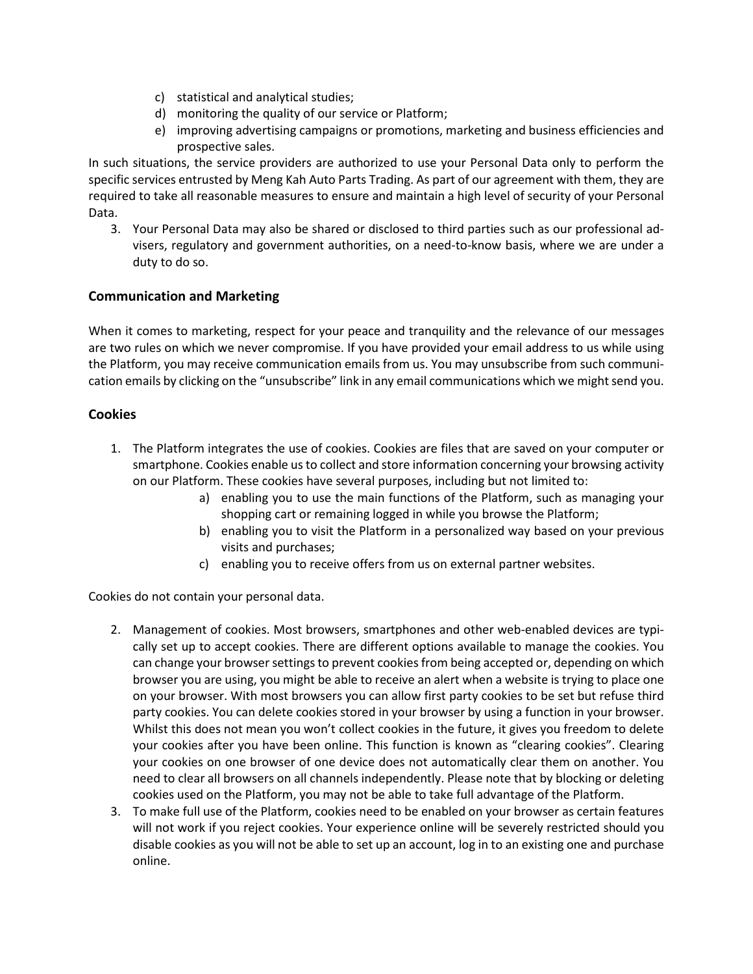- c) statistical and analytical studies;
- d) monitoring the quality of our service or Platform;
- e) improving advertising campaigns or promotions, marketing and business efficiencies and prospective sales.

In such situations, the service providers are authorized to use your Personal Data only to perform the specific services entrusted by Meng Kah Auto Parts Trading. As part of our agreement with them, they are required to take all reasonable measures to ensure and maintain a high level of security of your Personal Data.

3. Your Personal Data may also be shared or disclosed to third parties such as our professional advisers, regulatory and government authorities, on a need-to-know basis, where we are under a duty to do so.

## **Communication and Marketing**

When it comes to marketing, respect for your peace and tranquility and the relevance of our messages are two rules on which we never compromise. If you have provided your email address to us while using the Platform, you may receive communication emails from us. You may unsubscribe from such communication emails by clicking on the "unsubscribe" link in any email communications which we might send you.

#### **Cookies**

- 1. The Platform integrates the use of cookies. Cookies are files that are saved on your computer or smartphone. Cookies enable us to collect and store information concerning your browsing activity on our Platform. These cookies have several purposes, including but not limited to:
	- a) enabling you to use the main functions of the Platform, such as managing your shopping cart or remaining logged in while you browse the Platform;
	- b) enabling you to visit the Platform in a personalized way based on your previous visits and purchases;
	- c) enabling you to receive offers from us on external partner websites.

Cookies do not contain your personal data.

- 2. Management of cookies. Most browsers, smartphones and other web-enabled devices are typically set up to accept cookies. There are different options available to manage the cookies. You can change your browser settings to prevent cookies from being accepted or, depending on which browser you are using, you might be able to receive an alert when a website is trying to place one on your browser. With most browsers you can allow first party cookies to be set but refuse third party cookies. You can delete cookies stored in your browser by using a function in your browser. Whilst this does not mean you won't collect cookies in the future, it gives you freedom to delete your cookies after you have been online. This function is known as "clearing cookies". Clearing your cookies on one browser of one device does not automatically clear them on another. You need to clear all browsers on all channels independently. Please note that by blocking or deleting cookies used on the Platform, you may not be able to take full advantage of the Platform.
- 3. To make full use of the Platform, cookies need to be enabled on your browser as certain features will not work if you reject cookies. Your experience online will be severely restricted should you disable cookies as you will not be able to set up an account, log in to an existing one and purchase online.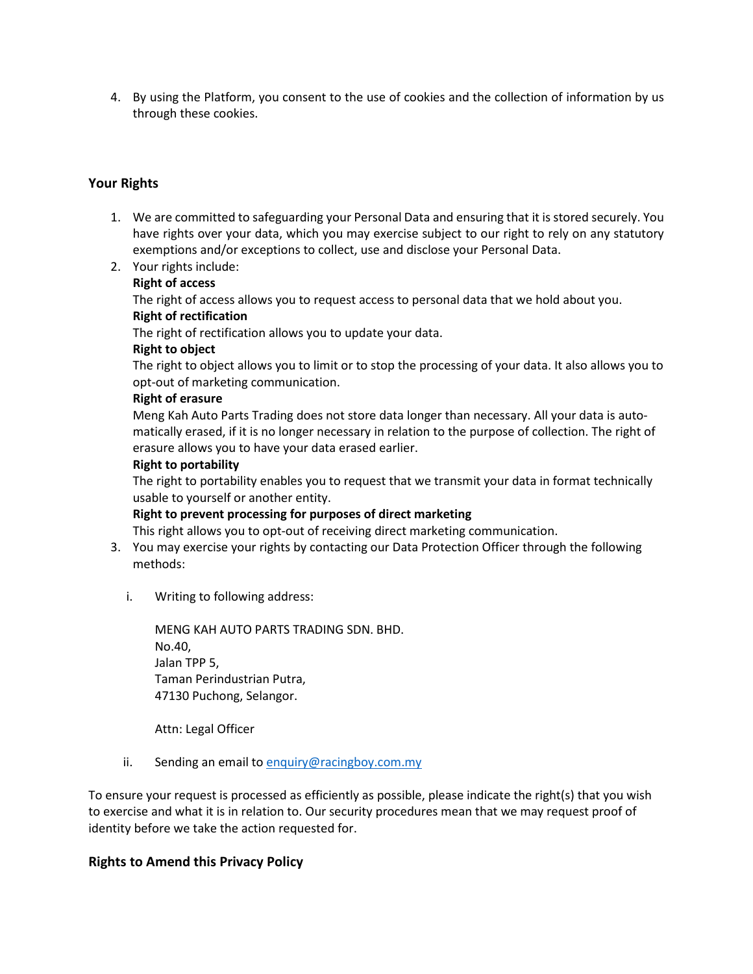4. By using the Platform, you consent to the use of cookies and the collection of information by us through these cookies.

## **Your Rights**

- 1. We are committed to safeguarding your Personal Data and ensuring that it is stored securely. You have rights over your data, which you may exercise subject to our right to rely on any statutory exemptions and/or exceptions to collect, use and disclose your Personal Data.
- 2. Your rights include:

#### **Right of access**

The right of access allows you to request access to personal data that we hold about you. **Right of rectification**

The right of rectification allows you to update your data.

#### **Right to object**

The right to object allows you to limit or to stop the processing of your data. It also allows you to opt-out of marketing communication.

#### **Right of erasure**

Meng Kah Auto Parts Trading does not store data longer than necessary. All your data is automatically erased, if it is no longer necessary in relation to the purpose of collection. The right of erasure allows you to have your data erased earlier.

#### **Right to portability**

The right to portability enables you to request that we transmit your data in format technically usable to yourself or another entity.

#### **Right to prevent processing for purposes of direct marketing**

This right allows you to opt-out of receiving direct marketing communication.

- 3. You may exercise your rights by contacting our Data Protection Officer through the following methods:
	- i. Writing to following address:

MENG KAH AUTO PARTS TRADING SDN. BHD. No.40, Jalan TPP 5, Taman Perindustrian Putra, 47130 Puchong, Selangor.

Attn: Legal Officer

ii. Sending an email t[o enquiry@racingboy.com.my](mailto:enquiry@racingboy.com.my)

To ensure your request is processed as efficiently as possible, please indicate the right(s) that you wish to exercise and what it is in relation to. Our security procedures mean that we may request proof of identity before we take the action requested for.

## **Rights to Amend this Privacy Policy**